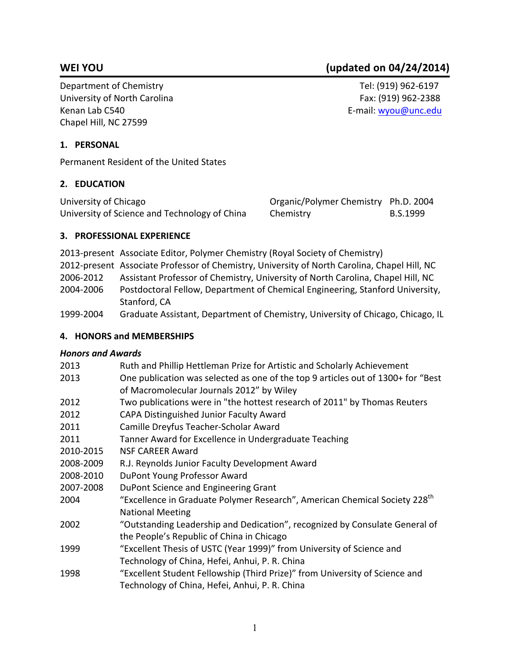Department of Chemistry Tel: (919) 962-6197 University of North Carolina **Fax:** (919) 962-2388 Kenan Lab C540 E-mail: wyou@unc.edu Chapel Hill, NC 27599

# **1. PERSONAL**

Permanent Resident of the United States

#### **2. EDUCATION**

| University of Chicago                         | Organic/Polymer Chemistry Ph.D. 2004 |          |
|-----------------------------------------------|--------------------------------------|----------|
| University of Science and Technology of China | Chemistry                            | B.S.1999 |

### **3. PROFESSIONAL EXPERIENCE**

2013-present Associate Editor, Polymer Chemistry (Royal Society of Chemistry) 2012-present Associate Professor of Chemistry, University of North Carolina, Chapel Hill, NC 2006-2012 Assistant Professor of Chemistry, University of North Carolina, Chapel Hill, NC 2004-2006 Postdoctoral Fellow, Department of Chemical Engineering, Stanford University, Stanford, CA 1999-2004 Graduate Assistant, Department of Chemistry, University of Chicago, Chicago, IL

#### **4. HONORS and MEMBERSHIPS**

#### *Honors and Awards*

| 2013      | Ruth and Phillip Hettleman Prize for Artistic and Scholarly Achievement                |
|-----------|----------------------------------------------------------------------------------------|
| 2013      | One publication was selected as one of the top 9 articles out of 1300+ for "Best       |
|           | of Macromolecular Journals 2012" by Wiley                                              |
| 2012      | Two publications were in "the hottest research of 2011" by Thomas Reuters              |
| 2012      | CAPA Distinguished Junior Faculty Award                                                |
| 2011      | Camille Dreyfus Teacher-Scholar Award                                                  |
| 2011      | Tanner Award for Excellence in Undergraduate Teaching                                  |
| 2010-2015 | <b>NSF CAREER Award</b>                                                                |
| 2008-2009 | R.J. Reynolds Junior Faculty Development Award                                         |
| 2008-2010 | DuPont Young Professor Award                                                           |
| 2007-2008 | DuPont Science and Engineering Grant                                                   |
| 2004      | "Excellence in Graduate Polymer Research", American Chemical Society 228 <sup>th</sup> |
|           | <b>National Meeting</b>                                                                |
| 2002      | "Outstanding Leadership and Dedication", recognized by Consulate General of            |
|           | the People's Republic of China in Chicago                                              |
| 1999      | "Excellent Thesis of USTC (Year 1999)" from University of Science and                  |
|           | Technology of China, Hefei, Anhui, P. R. China                                         |
| 1998      | "Excellent Student Fellowship (Third Prize)" from University of Science and            |
|           | Technology of China, Hefei, Anhui, P. R. China                                         |
|           |                                                                                        |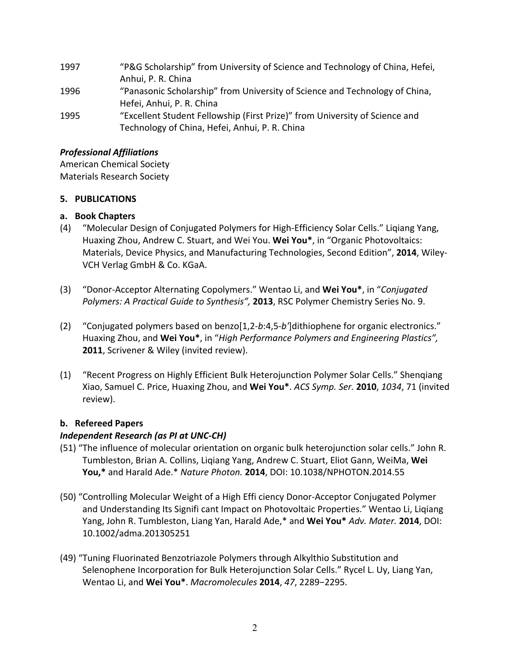| 1997 | "P&G Scholarship" from University of Science and Technology of China, Hefei, |
|------|------------------------------------------------------------------------------|
|      | Anhui, P. R. China                                                           |
| 1996 | "Panasonic Scholarship" from University of Science and Technology of China,  |
|      | Hefei, Anhui, P. R. China                                                    |
| 1995 | "Excellent Student Fellowship (First Prize)" from University of Science and  |
|      | Technology of China, Hefei, Anhui, P. R. China                               |

### *Professional Affiliations*

American Chemical Society Materials Research Society

### **5. PUBLICATIONS**

# **a. Book Chapters**

- (4) "Molecular Design of Conjugated Polymers for High-Efficiency Solar Cells." Ligiang Yang, Huaxing Zhou, Andrew C. Stuart, and Wei You. Wei You\*, in "Organic Photovoltaics: Materials, Device Physics, and Manufacturing Technologies, Second Edition", 2014, Wiley-VCH Verlag GmbH & Co. KGaA.
- (3) "Donor-Acceptor Alternating Copolymers." Wentao Li, and **Wei You\***, in "*Conjugated Polymers: A Practical Guide to Synthesis",* 2013, RSC Polymer Chemistry Series No. 9.
- (2) "Conjugated polymers based on benzo[1,2-b:4,5-b']dithiophene for organic electronics." Huaxing Zhou, and **Wei You\***, in "High Performance Polymers and Engineering Plastics", **2011**, Scrivener & Wiley (invited review).
- (1) "Recent Progress on Highly Efficient Bulk Heterojunction Polymer Solar Cells." Shengiang Xiao, Samuel C. Price, Huaxing Zhou, and **Wei You\***. *ACS Symp. Ser.* **2010**, *1034*, 71 (invited review).

# **b. Refereed Papers**

# *Independent Research (as PI at UNC-CH)*

- (51) "The influence of molecular orientation on organic bulk heterojunction solar cells." John R. Tumbleston, Brian A. Collins, Ligiang Yang, Andrew C. Stuart, Eliot Gann, WeiMa, Wei **You,\*** and Harald Ade.\* *Nature Photon.* **2014**, DOI: 10.1038/NPHOTON.2014.55
- (50) "Controlling Molecular Weight of a High Effi ciency Donor-Acceptor Conjugated Polymer and Understanding Its Signifi cant Impact on Photovoltaic Properties." Wentao Li, Liqiang Yang, John R. Tumbleston, Liang Yan, Harald Ade,\* and Wei You\* Adv. Mater. 2014, DOI: 10.1002/adma.201305251
- (49) "Tuning Fluorinated Benzotriazole Polymers through Alkylthio Substitution and Selenophene Incorporation for Bulk Heterojunction Solar Cells." Rycel L. Uy, Liang Yan, Wentao Li, and **Wei You\***. *Macromolecules* **2014**, *47*, 2289−2295.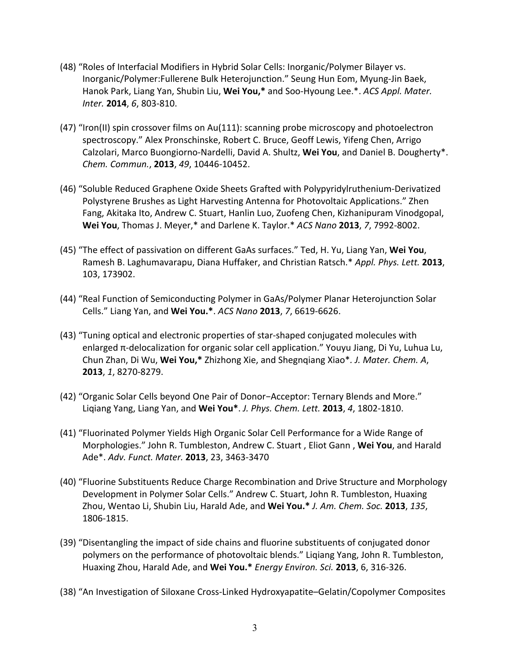- (48) "Roles of Interfacial Modifiers in Hybrid Solar Cells: Inorganic/Polymer Bilayer vs. Inorganic/Polymer:Fullerene Bulk Heterojunction." Seung Hun Eom, Myung-Jin Baek, Hanok Park, Liang Yan, Shubin Liu, Wei You,\* and Soo-Hyoung Lee.\*. *ACS Appl. Mater. Inter.* **2014**, 6, 803-810.
- (47) "Iron(II) spin crossover films on Au(111): scanning probe microscopy and photoelectron spectroscopy." Alex Pronschinske, Robert C. Bruce, Geoff Lewis, Yifeng Chen, Arrigo Calzolari, Marco Buongiorno-Nardelli, David A. Shultz, Wei You, and Daniel B. Dougherty<sup>\*</sup>. *Chem. Commun.*, **2013**, *49*, 10446-10452.
- (46) "Soluble Reduced Graphene Oxide Sheets Grafted with Polypyridylruthenium-Derivatized Polystyrene Brushes as Light Harvesting Antenna for Photovoltaic Applications." Zhen Fang, Akitaka Ito, Andrew C. Stuart, Hanlin Luo, Zuofeng Chen, Kizhanipuram Vinodgopal, **Wei You**, Thomas J. Meyer,\* and Darlene K. Taylor.\* *ACS Nano* **2013**, 7, 7992-8002.
- (45) "The effect of passivation on different GaAs surfaces." Ted, H. Yu, Liang Yan, Wei You, Ramesh B. Laghumavarapu, Diana Huffaker, and Christian Ratsch.\* Appl. Phys. Lett. 2013, 103, 173902.
- (44) "Real Function of Semiconducting Polymer in GaAs/Polymer Planar Heterojunction Solar Cells." Liang Yan, and **Wei You.\***. *ACS Nano* **2013**, *7*, 6619-6626.
- (43) "Tuning optical and electronic properties of star-shaped conjugated molecules with enlarged  $\pi$ -delocalization for organic solar cell application." Youyu Jiang, Di Yu, Luhua Lu, Chun Zhan, Di Wu, Wei You,\* Zhizhong Xie, and Shegnqiang Xiao\*. J. Mater. Chem. A, **2013**, 1, 8270-8279.
- (42) "Organic Solar Cells beyond One Pair of Donor-Acceptor: Ternary Blends and More." Liqiang Yang, Liang Yan, and **Wei You\***. *J. Phys. Chem. Lett.* **2013**, *4*, 1802-1810.
- (41) "Fluorinated Polymer Yields High Organic Solar Cell Performance for a Wide Range of Morphologies." John R. Tumbleston, Andrew C. Stuart, Eliot Gann, Wei You, and Harald Ade\*. *Adv. Funct. Mater.* **2013**, 23, 3463-3470
- (40) "Fluorine Substituents Reduce Charge Recombination and Drive Structure and Morphology Development in Polymer Solar Cells." Andrew C. Stuart, John R. Tumbleston, Huaxing Zhou, Wentao Li, Shubin Liu, Harald Ade, and Wei You.\* *J. Am. Chem. Soc.* 2013, 135, 1806-1815.
- (39) "Disentangling the impact of side chains and fluorine substituents of conjugated donor polymers on the performance of photovoltaic blends." Liqiang Yang, John R. Tumbleston, Huaxing Zhou, Harald Ade, and Wei You.\* *Energy Environ. Sci.* 2013, 6, 316-326.
- (38) "An Investigation of Siloxane Cross-Linked Hydroxyapatite–Gelatin/Copolymer Composites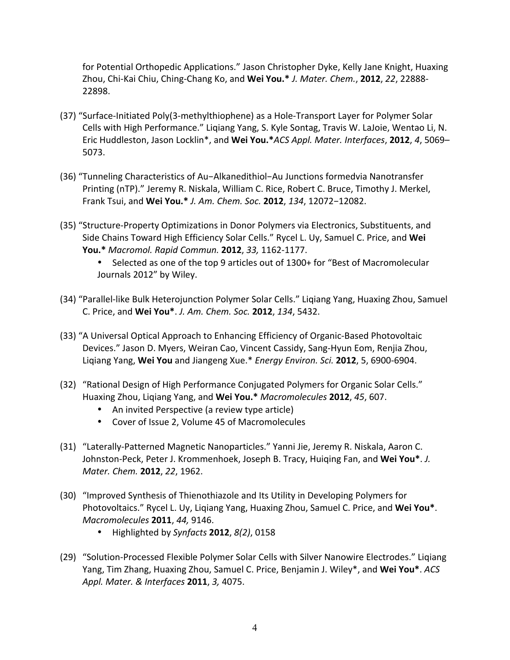for Potential Orthopedic Applications." Jason Christopher Dyke, Kelly Jane Knight, Huaxing Zhou, Chi-Kai Chiu, Ching-Chang Ko, and Wei You.<sup>\*</sup> *J. Mater. Chem.*, 2012, 22, 22888-22898.

- (37) "Surface-Initiated Poly(3-methylthiophene) as a Hole-Transport Layer for Polymer Solar Cells with High Performance." Liqiang Yang, S. Kyle Sontag, Travis W. LaJoie, Wentao Li, N. Eric Huddleston, Jason Locklin\*, and Wei You.\**ACS Appl. Mater. Interfaces*, 2012, 4, 5069– 5073.
- (36) "Tunneling Characteristics of Au-Alkanedithiol-Au Junctions formedvia Nanotransfer Printing (nTP)." Jeremy R. Niskala, William C. Rice, Robert C. Bruce, Timothy J. Merkel, Frank Tsui, and **Wei You.\*** *J. Am. Chem. Soc.* **2012**, *134*, 12072−12082.
- (35) "Structure-Property Optimizations in Donor Polymers via Electronics, Substituents, and Side Chains Toward High Efficiency Solar Cells." Rycel L. Uy, Samuel C. Price, and Wei **You.\*** *Macromol. Rapid Commun.* **2012**, *33,* 1162-1177.
	- Selected as one of the top 9 articles out of 1300+ for "Best of Macromolecular Journals 2012" by Wiley.
- (34) "Parallel-like Bulk Heterojunction Polymer Solar Cells." Ligiang Yang, Huaxing Zhou, Samuel C. Price, and **Wei You\***. *J. Am. Chem. Soc.* **2012**, *134*, 5432.
- (33) "A Universal Optical Approach to Enhancing Efficiency of Organic-Based Photovoltaic Devices." Jason D. Myers, Weiran Cao, Vincent Cassidy, Sang-Hyun Eom, Renjia Zhou, Liqiang Yang, Wei You and Jiangeng Xue.\* *Energy Environ. Sci.* 2012, 5, 6900-6904.
- (32) "Rational Design of High Performance Conjugated Polymers for Organic Solar Cells." Huaxing Zhou, Liqiang Yang, and **Wei You.\*** *Macromolecules* **2012**, *45*, 607.
	- An invited Perspective (a review type article)
	- Cover of Issue 2, Volume 45 of Macromolecules
- (31) "Laterally-Patterned Magnetic Nanoparticles." Yanni Jie, Jeremy R. Niskala, Aaron C. Johnston-Peck, Peter J. Krommenhoek, Joseph B. Tracy, Huiqing Fan, and Wei You<sup>\*</sup>. *J. Mater. Chem.* **2012**, 22, 1962.
- (30) "Improved Synthesis of Thienothiazole and Its Utility in Developing Polymers for Photovoltaics." Rycel L. Uy, Liqiang Yang, Huaxing Zhou, Samuel C. Price, and Wei You\*. *Macromolecules* **2011**, 44, 9146.
	- Highlighted by *Synfacts* **2012**, *8(2)*, 0158
- (29) "Solution-Processed Flexible Polymer Solar Cells with Silver Nanowire Electrodes." Ligiang Yang, Tim Zhang, Huaxing Zhou, Samuel C. Price, Benjamin J. Wiley<sup>\*</sup>, and Wei You<sup>\*</sup>. *ACS Appl. Mater. & Interfaces* **2011**, *3,* 4075.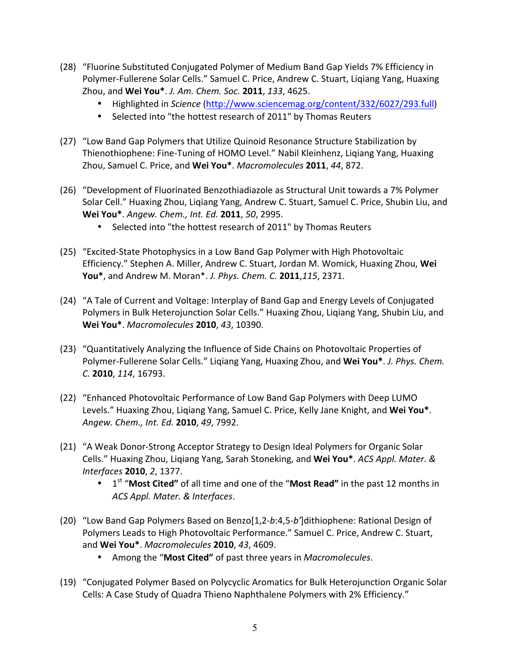- (28) "Fluorine Substituted Conjugated Polymer of Medium Band Gap Yields 7% Efficiency in Polymer-Fullerene Solar Cells." Samuel C. Price, Andrew C. Stuart, Liqiang Yang, Huaxing Zhou, and Wei You\*. *J. Am. Chem. Soc.* 2011, 133, 4625.
	- Highlighted in *Science* (http://www.sciencemag.org/content/332/6027/293.full)
	- Selected into "the hottest research of 2011" by Thomas Reuters
- (27) "Low Band Gap Polymers that Utilize Quinoid Resonance Structure Stabilization by Thienothiophene: Fine-Tuning of HOMO Level." Nabil Kleinhenz, Liqiang Yang, Huaxing Zhou, Samuel C. Price, and Wei You\*. Macromolecules 2011, 44, 872.
- (26) "Development of Fluorinated Benzothiadiazole as Structural Unit towards a 7% Polymer Solar Cell." Huaxing Zhou, Liqiang Yang, Andrew C. Stuart, Samuel C. Price, Shubin Liu, and **Wei You\***. *Angew. Chem., Int. Ed.* **2011**, *50*, 2995.
	- Selected into "the hottest research of 2011" by Thomas Reuters
- (25) "Excited-State Photophysics in a Low Band Gap Polymer with High Photovoltaic Efficiency." Stephen A. Miller, Andrew C. Stuart, Jordan M. Womick, Huaxing Zhou, Wei **You\***, and Andrew M. Moran\*. *J. Phys. Chem. C.* **2011**,*115*, 2371.
- (24) "A Tale of Current and Voltage: Interplay of Band Gap and Energy Levels of Conjugated Polymers in Bulk Heterojunction Solar Cells." Huaxing Zhou, Liqiang Yang, Shubin Liu, and **Wei You\***. *Macromolecules* **2010**, *43*, 10390.
- (23) "Quantitatively Analyzing the Influence of Side Chains on Photovoltaic Properties of Polymer-Fullerene Solar Cells." Liqiang Yang, Huaxing Zhou, and Wei You\*. *J. Phys. Chem. C.* **2010**, *114*, 16793.
- (22) "Enhanced Photovoltaic Performance of Low Band Gap Polymers with Deep LUMO Levels." Huaxing Zhou, Ligiang Yang, Samuel C. Price, Kelly Jane Knight, and Wei You\*. *Angew. Chem., Int. Ed.* **2010**, *49*, 7992.
- (21) "A Weak Donor-Strong Acceptor Strategy to Design Ideal Polymers for Organic Solar Cells." Huaxing Zhou, Ligiang Yang, Sarah Stoneking, and Wei You<sup>\*</sup>. *ACS Appl. Mater. & Interfaces* **2010**, *2*, 1377.
	- 1<sup>st</sup> "Most Cited" of all time and one of the "Most Read" in the past 12 months in *ACS Appl. Mater. & Interfaces*.
- (20) "Low Band Gap Polymers Based on Benzo[1,2-*b*:4,5-*bʹ*]dithiophene: Rational Design of Polymers Leads to High Photovoltaic Performance." Samuel C. Price, Andrew C. Stuart, and **Wei You\***. *Macromolecules* **2010**, *43*, 4609.
	- Among the "Most Cited" of past three years in *Macromolecules*.
- (19) "Conjugated Polymer Based on Polycyclic Aromatics for Bulk Heterojunction Organic Solar Cells: A Case Study of Quadra Thieno Naphthalene Polymers with 2% Efficiency."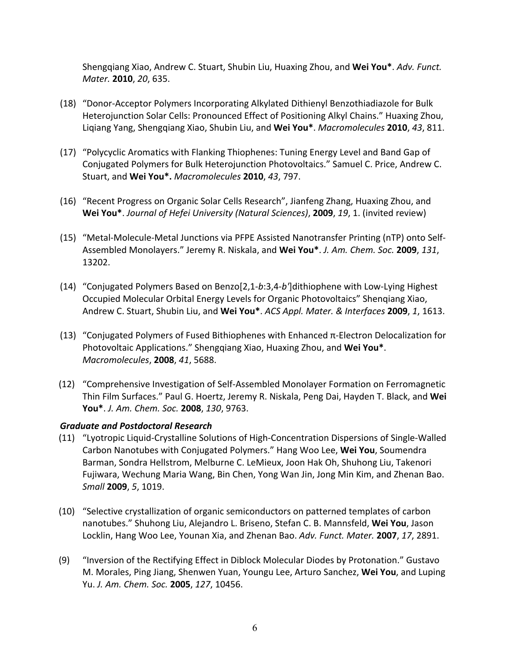Shengqiang Xiao, Andrew C. Stuart, Shubin Liu, Huaxing Zhou, and Wei You\*. *Adv. Funct. Mater.* **2010**, 20, 635.

- (18) "Donor-Acceptor Polymers Incorporating Alkylated Dithienyl Benzothiadiazole for Bulk Heterojunction Solar Cells: Pronounced Effect of Positioning Alkyl Chains." Huaxing Zhou, Liqiang Yang, Shengqiang Xiao, Shubin Liu, and **Wei You\***. *Macromolecules* **2010**, *43*, 811.
- (17) "Polycyclic Aromatics with Flanking Thiophenes: Tuning Energy Level and Band Gap of Conjugated Polymers for Bulk Heterojunction Photovoltaics." Samuel C. Price, Andrew C. Stuart, and Wei You\*. *Macromolecules* 2010, 43, 797.
- (16) "Recent Progress on Organic Solar Cells Research", Jianfeng Zhang, Huaxing Zhou, and **Wei You\***. *Journal of Hefei University (Natural Sciences)*, **2009**, 19, 1. (invited review)
- (15) "Metal-Molecule-Metal Junctions via PFPE Assisted Nanotransfer Printing (nTP) onto Self-Assembled Monolayers." Jeremy R. Niskala, and **Wei You\***. *J. Am. Chem. Soc.* **2009**, *131*, 13202.
- (14) "Conjugated Polymers Based on Benzo[2,1-*b*:3,4-*b'*]dithiophene with Low-Lying Highest Occupied Molecular Orbital Energy Levels for Organic Photovoltaics" Shenqiang Xiao, Andrew C. Stuart, Shubin Liu, and Wei You\*. *ACS Appl. Mater. & Interfaces* 2009, 1, 1613.
- (13) "Conjugated Polymers of Fused Bithiophenes with Enhanced  $\pi$ -Electron Delocalization for Photovoltaic Applications." Shengqiang Xiao, Huaxing Zhou, and Wei You\*. *Macromolecules*, **2008**, *41*, 5688.
- (12) "Comprehensive Investigation of Self-Assembled Monolayer Formation on Ferromagnetic Thin Film Surfaces." Paul G. Hoertz, Jeremy R. Niskala, Peng Dai, Hayden T. Black, and Wei **You\***. *J. Am. Chem. Soc.* **2008**, *130*, 9763.

#### *Graduate and Postdoctoral Research*

- (11) "Lyotropic Liquid-Crystalline Solutions of High-Concentration Dispersions of Single-Walled Carbon Nanotubes with Conjugated Polymers." Hang Woo Lee, Wei You, Soumendra Barman, Sondra Hellstrom, Melburne C. LeMieux, Joon Hak Oh, Shuhong Liu, Takenori Fujiwara, Wechung Maria Wang, Bin Chen, Yong Wan Jin, Jong Min Kim, and Zhenan Bao. *Small* **2009**, 5, 1019.
- (10) "Selective crystallization of organic semiconductors on patterned templates of carbon nanotubes." Shuhong Liu, Alejandro L. Briseno, Stefan C. B. Mannsfeld, Wei You, Jason Locklin, Hang Woo Lee, Younan Xia, and Zhenan Bao. Adv. Funct. Mater. 2007, 17, 2891.
- (9) "Inversion of the Rectifying Effect in Diblock Molecular Diodes by Protonation." Gustavo M. Morales, Ping Jiang, Shenwen Yuan, Youngu Lee, Arturo Sanchez, Wei You, and Luping Yu. *J. Am. Chem. Soc.* **2005**, *127*, 10456.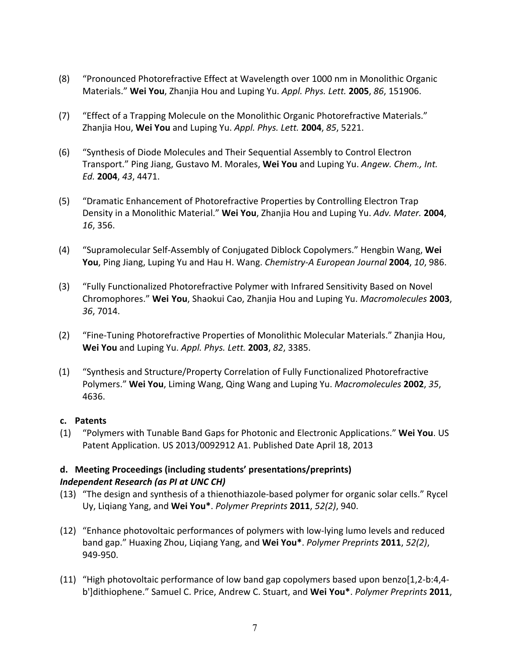- (8) "Pronounced Photorefractive Effect at Wavelength over 1000 nm in Monolithic Organic Materials." **Wei You**, Zhanjia Hou and Luping Yu. *Appl. Phys. Lett.* **2005**, *86*, 151906.
- (7) "Effect of a Trapping Molecule on the Monolithic Organic Photorefractive Materials." Zhanjia Hou, **Wei You** and Luping Yu. *Appl. Phys. Lett.* **2004**, *85*, 5221.
- (6) "Synthesis of Diode Molecules and Their Sequential Assembly to Control Electron Transport." Ping Jiang, Gustavo M. Morales, Wei You and Luping Yu. Angew. Chem., Int. *Ed.* **2004**, *43*, 4471.
- (5) "Dramatic Enhancement of Photorefractive Properties by Controlling Electron Trap Density in a Monolithic Material." Wei You, Zhanjia Hou and Luping Yu. Adv. Mater. 2004, *16*, 356.
- (4) "Supramolecular Self-Assembly of Conjugated Diblock Copolymers." Hengbin Wang, Wei **You**, Ping Jiang, Luping Yu and Hau H. Wang. *Chemistry-A European Journal* 2004, 10, 986.
- (3) "Fully Functionalized Photorefractive Polymer with Infrared Sensitivity Based on Novel Chromophores." **Wei You**, Shaokui Cao, Zhanjia Hou and Luping Yu. *Macromolecules* **2003**, *36*, 7014.
- (2) "Fine-Tuning Photorefractive Properties of Monolithic Molecular Materials." Zhanjia Hou, **Wei You** and Luping Yu. *Appl. Phys. Lett.* **2003**, *82*, 3385.
- (1) "Synthesis and Structure/Property Correlation of Fully Functionalized Photorefractive Polymers." Wei You, Liming Wang, Qing Wang and Luping Yu. *Macromolecules* 2002, 35, 4636.

# **c. Patents**

(1) "Polymers with Tunable Band Gaps for Photonic and Electronic Applications." **Wei You**. US Patent Application. US 2013/0092912 A1. Published Date April 18, 2013

# **d. Meeting Proceedings (including students' presentations/preprints)** *Independent Research (as PI at UNC CH)*

- (13) "The design and synthesis of a thienothiazole-based polymer for organic solar cells." Rycel Uy, Liqiang Yang, and **Wei You\***. *Polymer Preprints* **2011**, *52(2)*, 940.
- (12) "Enhance photovoltaic performances of polymers with low-lying lumo levels and reduced band gap." Huaxing Zhou, Liqiang Yang, and **Wei You\***. *Polymer Preprints* **2011**, *52(2)*, 949-950.
- (11) "High photovoltaic performance of low band gap copolymers based upon benzo[1,2-b:4,4b']dithiophene." Samuel C. Price, Andrew C. Stuart, and **Wei You\***. *Polymer Preprints* **2011**,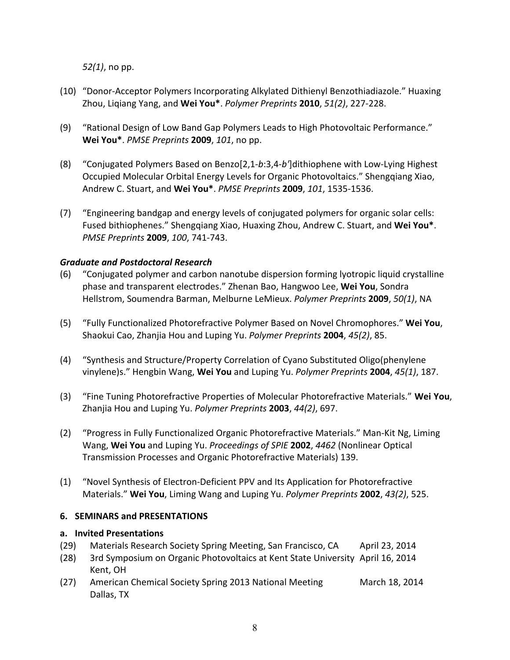*52(1)*, no pp.

- (10) "Donor-Acceptor Polymers Incorporating Alkylated Dithienyl Benzothiadiazole." Huaxing Zhou, Liqiang Yang, and **Wei You\***. *Polymer Preprints* **2010**, *51(2)*, 227-228.
- (9) "Rational Design of Low Band Gap Polymers Leads to High Photovoltaic Performance." **Wei You\***. *PMSE Preprints* **2009**, *101*, no pp.
- (8) "Conjugated Polymers Based on Benzo[2,1-*b*:3,4-*b'*]dithiophene with Low-Lying Highest Occupied Molecular Orbital Energy Levels for Organic Photovoltaics." Shengqiang Xiao, Andrew C. Stuart, and **Wei You\***. *PMSE Preprints* **2009**, *101*, 1535-1536.
- (7) "Engineering bandgap and energy levels of conjugated polymers for organic solar cells: Fused bithiophenes." Shengqiang Xiao, Huaxing Zhou, Andrew C. Stuart, and Wei You<sup>\*</sup>. *PMSE Preprints* **2009**, *100*, 741-743.

### *Graduate and Postdoctoral Research*

- (6) "Conjugated polymer and carbon nanotube dispersion forming lyotropic liquid crystalline phase and transparent electrodes." Zhenan Bao, Hangwoo Lee, Wei You, Sondra Hellstrom, Soumendra Barman, Melburne LeMieux. *Polymer Preprints* **2009**, 50(1), NA
- (5) "Fully Functionalized Photorefractive Polymer Based on Novel Chromophores." Wei You, Shaokui Cao, Zhanjia Hou and Luping Yu. *Polymer Preprints* **2004**, 45(2), 85.
- (4) "Synthesis and Structure/Property Correlation of Cyano Substituted Oligo(phenylene vinylene)s." Hengbin Wang, **Wei You** and Luping Yu. *Polymer Preprints* **2004**, *45(1)*, 187.
- (3) "Fine Tuning Photorefractive Properties of Molecular Photorefractive Materials." Wei You, Zhanjia Hou and Luping Yu. *Polymer Preprints* **2003**, *44(2)*, 697.
- (2) "Progress in Fully Functionalized Organic Photorefractive Materials." Man-Kit Ng, Liming Wang, Wei You and Luping Yu. *Proceedings of SPIE* 2002, 4462 (Nonlinear Optical Transmission Processes and Organic Photorefractive Materials) 139.
- (1) "Novel Synthesis of Electron-Deficient PPV and Its Application for Photorefractive Materials." Wei You, Liming Wang and Luping Yu. Polymer Preprints 2002, 43(2), 525.

#### **6. SEMINARS and PRESENTATIONS**

#### **a. Invited Presentations**

- (29) Materials Research Society Spring Meeting, San Francisco, CA April 23, 2014
- (28) 3rd Symposium on Organic Photovoltaics at Kent State University April 16, 2014 Kent, OH
- (27) American Chemical Society Spring 2013 National Meeting March 18, 2014 Dallas, TX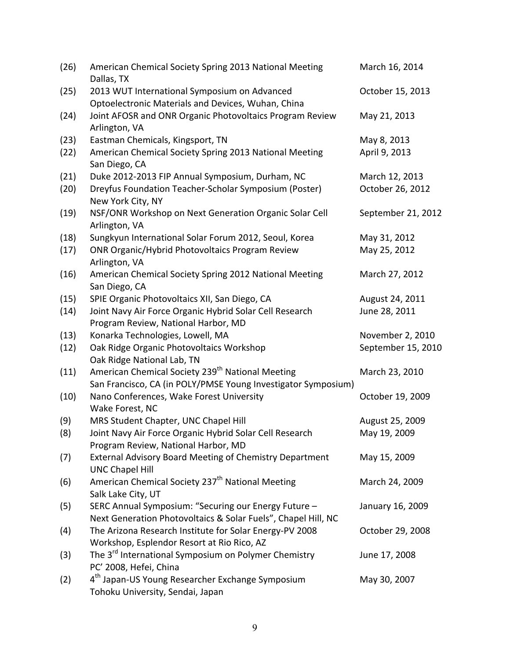| (26) | American Chemical Society Spring 2013 National Meeting<br>Dallas, TX                                                            | March 16, 2014     |
|------|---------------------------------------------------------------------------------------------------------------------------------|--------------------|
| (25) | 2013 WUT International Symposium on Advanced                                                                                    | October 15, 2013   |
| (24) | Optoelectronic Materials and Devices, Wuhan, China<br>Joint AFOSR and ONR Organic Photovoltaics Program Review<br>Arlington, VA | May 21, 2013       |
| (23) | Eastman Chemicals, Kingsport, TN                                                                                                | May 8, 2013        |
| (22) | American Chemical Society Spring 2013 National Meeting<br>San Diego, CA                                                         | April 9, 2013      |
| (21) | Duke 2012-2013 FIP Annual Symposium, Durham, NC                                                                                 | March 12, 2013     |
| (20) | Dreyfus Foundation Teacher-Scholar Symposium (Poster)<br>New York City, NY                                                      | October 26, 2012   |
| (19) | NSF/ONR Workshop on Next Generation Organic Solar Cell<br>Arlington, VA                                                         | September 21, 2012 |
| (18) | Sungkyun International Solar Forum 2012, Seoul, Korea                                                                           | May 31, 2012       |
| (17) | <b>ONR Organic/Hybrid Photovoltaics Program Review</b><br>Arlington, VA                                                         | May 25, 2012       |
| (16) | American Chemical Society Spring 2012 National Meeting<br>San Diego, CA                                                         | March 27, 2012     |
| (15) | SPIE Organic Photovoltaics XII, San Diego, CA                                                                                   | August 24, 2011    |
| (14) | Joint Navy Air Force Organic Hybrid Solar Cell Research<br>Program Review, National Harbor, MD                                  | June 28, 2011      |
| (13) | Konarka Technologies, Lowell, MA                                                                                                | November 2, 2010   |
| (12) | Oak Ridge Organic Photovoltaics Workshop<br>Oak Ridge National Lab, TN                                                          | September 15, 2010 |
| (11) | American Chemical Society 239 <sup>th</sup> National Meeting<br>San Francisco, CA (in POLY/PMSE Young Investigator Symposium)   | March 23, 2010     |
| (10) | Nano Conferences, Wake Forest University<br>Wake Forest, NC                                                                     | October 19, 2009   |
| (9)  | MRS Student Chapter, UNC Chapel Hill                                                                                            | August 25, 2009    |
| (8)  | Joint Navy Air Force Organic Hybrid Solar Cell Research<br>Program Review, National Harbor, MD                                  | May 19, 2009       |
| (7)  | <b>External Advisory Board Meeting of Chemistry Department</b><br><b>UNC Chapel Hill</b>                                        | May 15, 2009       |
| (6)  | American Chemical Society 237 <sup>th</sup> National Meeting<br>Salk Lake City, UT                                              | March 24, 2009     |
| (5)  | SERC Annual Symposium: "Securing our Energy Future -<br>Next Generation Photovoltaics & Solar Fuels", Chapel Hill, NC           | January 16, 2009   |
| (4)  | The Arizona Research Institute for Solar Energy-PV 2008<br>Workshop, Esplendor Resort at Rio Rico, AZ                           | October 29, 2008   |
| (3)  | The 3 <sup>rd</sup> International Symposium on Polymer Chemistry<br>PC' 2008, Hefei, China                                      | June 17, 2008      |
| (2)  | 4 <sup>th</sup> Japan-US Young Researcher Exchange Symposium<br>Tohoku University, Sendai, Japan                                | May 30, 2007       |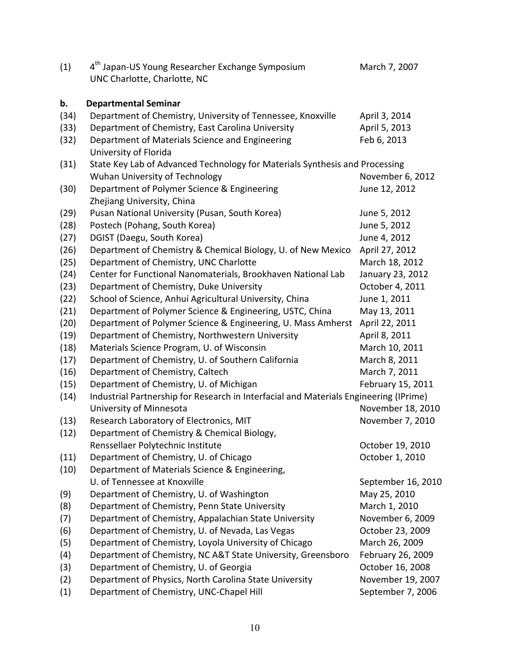| (1)  | 4 <sup>th</sup> Japan-US Young Researcher Exchange Symposium<br>UNC Charlotte, Charlotte, NC | March 7, 2007      |
|------|----------------------------------------------------------------------------------------------|--------------------|
| b.   | <b>Departmental Seminar</b>                                                                  |                    |
| (34) | Department of Chemistry, University of Tennessee, Knoxville                                  | April 3, 2014      |
| (33) | Department of Chemistry, East Carolina University                                            | April 5, 2013      |
| (32) | Department of Materials Science and Engineering<br>University of Florida                     | Feb 6, 2013        |
| (31) | State Key Lab of Advanced Technology for Materials Synthesis and Processing                  |                    |
|      | Wuhan University of Technology                                                               | November 6, 2012   |
| (30) | Department of Polymer Science & Engineering<br>Zhejiang University, China                    | June 12, 2012      |
| (29) | Pusan National University (Pusan, South Korea)                                               | June 5, 2012       |
| (28) | Postech (Pohang, South Korea)                                                                | June 5, 2012       |
| (27) | DGIST (Daegu, South Korea)                                                                   | June 4, 2012       |
| (26) | Department of Chemistry & Chemical Biology, U. of New Mexico                                 | April 27, 2012     |
| (25) | Department of Chemistry, UNC Charlotte                                                       | March 18, 2012     |
| (24) | Center for Functional Nanomaterials, Brookhaven National Lab                                 | January 23, 2012   |
| (23) | Department of Chemistry, Duke University                                                     | October 4, 2011    |
| (22) | School of Science, Anhui Agricultural University, China                                      | June 1, 2011       |
| (21) | Department of Polymer Science & Engineering, USTC, China                                     | May 13, 2011       |
| (20) | Department of Polymer Science & Engineering, U. Mass Amherst                                 | April 22, 2011     |
| (19) | Department of Chemistry, Northwestern University                                             | April 8, 2011      |
| (18) | Materials Science Program, U. of Wisconsin                                                   | March 10, 2011     |
| (17) | Department of Chemistry, U. of Southern California                                           | March 8, 2011      |
| (16) | Department of Chemistry, Caltech                                                             | March 7, 2011      |
| (15) | Department of Chemistry, U. of Michigan                                                      | February 15, 2011  |
| (14) | Industrial Partnership for Research in Interfacial and Materials Engineering (IPrime)        |                    |
|      | University of Minnesota                                                                      | November 18, 2010  |
| (13) | Research Laboratory of Electronics, MIT                                                      | November 7, 2010   |
| (12) | Department of Chemistry & Chemical Biology,                                                  |                    |
|      | Renssellaer Polytechnic Institute                                                            | October 19, 2010   |
| (11) | Department of Chemistry, U. of Chicago                                                       | October 1, 2010    |
| (10) | Department of Materials Science & Engineering,                                               |                    |
|      | U. of Tennessee at Knoxville                                                                 | September 16, 2010 |
| (9)  | Department of Chemistry, U. of Washington                                                    | May 25, 2010       |
| (8)  | Department of Chemistry, Penn State University                                               | March 1, 2010      |
| (7)  | Department of Chemistry, Appalachian State University                                        | November 6, 2009   |
| (6)  | Department of Chemistry, U. of Nevada, Las Vegas                                             | October 23, 2009   |
| (5)  | Department of Chemistry, Loyola University of Chicago                                        | March 26, 2009     |
| (4)  | Department of Chemistry, NC A&T State University, Greensboro                                 | February 26, 2009  |
| (3)  | Department of Chemistry, U. of Georgia                                                       | October 16, 2008   |
| (2)  | Department of Physics, North Carolina State University                                       | November 19, 2007  |
| (1)  | Department of Chemistry, UNC-Chapel Hill                                                     | September 7, 2006  |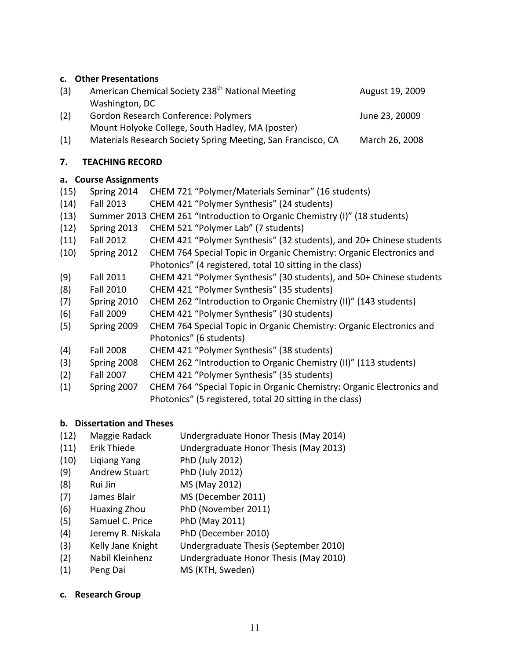# **c. Other Presentations**

| (3) | American Chemical Society 238 <sup>th</sup> National Meeting | August 19, 2009 |
|-----|--------------------------------------------------------------|-----------------|
|     | Washington, DC                                               |                 |
| (2) | <b>Gordon Research Conference: Polymers</b>                  | June 23, 20009  |
|     | Mount Holyoke College, South Hadley, MA (poster)             |                 |
| (1) | Materials Research Society Spring Meeting, San Francisco, CA | March 26, 2008  |

#### **7. TEACHING RECORD**

### **a. Course Assignments**

| (15) | Spring 2014      | CHEM 721 "Polymer/Materials Seminar" (16 students)                         |
|------|------------------|----------------------------------------------------------------------------|
| (14) | <b>Fall 2013</b> | CHEM 421 "Polymer Synthesis" (24 students)                                 |
| (13) |                  | Summer 2013 CHEM 261 "Introduction to Organic Chemistry (I)" (18 students) |
| (12) | Spring 2013      | CHEM 521 "Polymer Lab" (7 students)                                        |
| (11) | <b>Fall 2012</b> | CHEM 421 "Polymer Synthesis" (32 students), and 20+ Chinese students       |
| (10) | Spring 2012      | CHEM 764 Special Topic in Organic Chemistry: Organic Electronics and       |
|      |                  | Photonics" (4 registered, total 10 sitting in the class)                   |
| (9)  | <b>Fall 2011</b> | CHEM 421 "Polymer Synthesis" (30 students), and 50+ Chinese students       |
| (8)  | <b>Fall 2010</b> | CHEM 421 "Polymer Synthesis" (35 students)                                 |
| (7)  | Spring 2010      | CHEM 262 "Introduction to Organic Chemistry (II)" (143 students)           |
| (6)  | <b>Fall 2009</b> | CHEM 421 "Polymer Synthesis" (30 students)                                 |
| (5)  | Spring 2009      | CHEM 764 Special Topic in Organic Chemistry: Organic Electronics and       |
|      |                  | Photonics" (6 students)                                                    |
| (4)  | <b>Fall 2008</b> | CHEM 421 "Polymer Synthesis" (38 students)                                 |
| (3)  | Spring 2008      | CHEM 262 "Introduction to Organic Chemistry (II)" (113 students)           |
| (2)  | <b>Fall 2007</b> | CHEM 421 "Polymer Synthesis" (35 students)                                 |
| (1)  | Spring 2007      | CHEM 764 "Special Topic in Organic Chemistry: Organic Electronics and      |
|      |                  | Photonics" (5 registered, total 20 sitting in the class)                   |

# **b. Dissertation and Theses**

- (12) Maggie Radack Undergraduate Honor Thesis (May 2014)
- (11) Erik Thiede Undergraduate Honor Thesis (May 2013)
- (10) Liqiang Yang PhD (July 2012)
- (9) Andrew Stuart PhD (July 2012)
- (8) Rui Jin MS (May 2012)
- (7) James Blair MS (December 2011)
- (6) Huaxing Zhou PhD (November 2011)
- (5) Samuel C. Price PhD (May 2011)
- (4) Jeremy R. Niskala PhD (December 2010)
- (3) Kelly Jane Knight Undergraduate Thesis (September 2010)
- (2) Nabil Kleinhenz Undergraduate Honor Thesis (May 2010)
- (1) Peng Dai MS (KTH, Sweden)

#### **c. Research Group**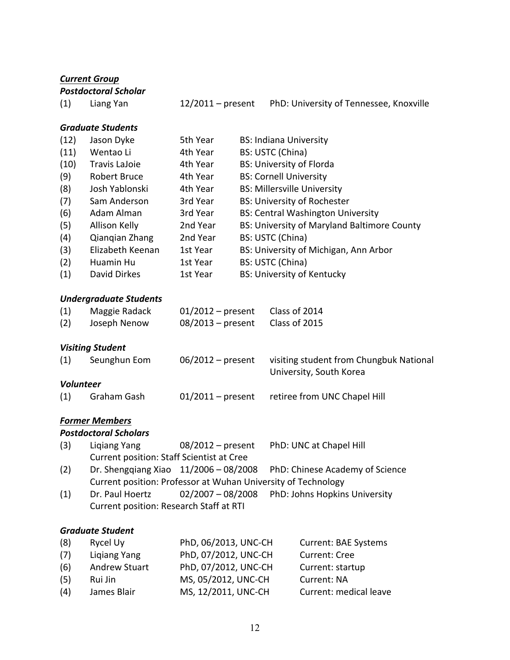|                  | <b>Current Group</b>                                          |                                      |                                 |  |                                                                    |
|------------------|---------------------------------------------------------------|--------------------------------------|---------------------------------|--|--------------------------------------------------------------------|
|                  | <b>Postdoctoral Scholar</b>                                   |                                      |                                 |  |                                                                    |
| (1)              | Liang Yan                                                     | 12/2011 – present                    |                                 |  | PhD: University of Tennessee, Knoxville                            |
|                  | <b>Graduate Students</b>                                      |                                      |                                 |  |                                                                    |
| (12)             | Jason Dyke                                                    | 5th Year                             | <b>BS: Indiana University</b>   |  |                                                                    |
| (11)             | Wentao Li                                                     | 4th Year                             | BS: USTC (China)                |  |                                                                    |
| (10)             | <b>Travis LaJoie</b>                                          | 4th Year                             | <b>BS: University of Florda</b> |  |                                                                    |
| (9)              | <b>Robert Bruce</b>                                           | 4th Year                             | <b>BS: Cornell University</b>   |  |                                                                    |
| (8)              | Josh Yablonski                                                | 4th Year                             |                                 |  | <b>BS: Millersville University</b>                                 |
| (7)              | Sam Anderson                                                  | 3rd Year                             |                                 |  | <b>BS: University of Rochester</b>                                 |
| (6)              | Adam Alman                                                    | 3rd Year                             |                                 |  | <b>BS: Central Washington University</b>                           |
| (5)              | Allison Kelly                                                 | 2nd Year                             |                                 |  | BS: University of Maryland Baltimore County                        |
| (4)              | Qiangian Zhang                                                | 2nd Year                             | BS: USTC (China)                |  |                                                                    |
| (3)              | Elizabeth Keenan                                              | 1st Year                             |                                 |  | BS: University of Michigan, Ann Arbor                              |
| (2)              | Huamin Hu                                                     | 1st Year                             | BS: USTC (China)                |  |                                                                    |
| (1)              | David Dirkes                                                  | 1st Year                             |                                 |  | <b>BS: University of Kentucky</b>                                  |
|                  | <b>Undergraduate Students</b>                                 |                                      |                                 |  |                                                                    |
| (1)              | Maggie Radack                                                 | Class of 2014<br>$01/2012$ – present |                                 |  |                                                                    |
| (2)              | Joseph Nenow                                                  | $08/2013$ – present                  |                                 |  | Class of 2015                                                      |
|                  | <b>Visiting Student</b>                                       |                                      |                                 |  |                                                                    |
| (1)              | Seunghun Eom                                                  | $06/2012$ – present                  |                                 |  | visiting student from Chungbuk National<br>University, South Korea |
| <b>Volunteer</b> |                                                               |                                      |                                 |  |                                                                    |
| (1)              | Graham Gash                                                   | $01/2011 - present$                  |                                 |  | retiree from UNC Chapel Hill                                       |
|                  | <b>Former Members</b>                                         |                                      |                                 |  |                                                                    |
|                  | <b>Postdoctoral Scholars</b>                                  |                                      |                                 |  |                                                                    |
| (3)              | Ligiang Yang                                                  | $08/2012$ – present                  |                                 |  | PhD: UNC at Chapel Hill                                            |
|                  | <b>Current position: Staff Scientist at Cree</b>              |                                      |                                 |  |                                                                    |
| (2)              | Dr. Shenggiang Xiao $11/2006 - 08/2008$                       |                                      |                                 |  | PhD: Chinese Academy of Science                                    |
|                  | Current position: Professor at Wuhan University of Technology |                                      |                                 |  |                                                                    |
| (1)              | Dr. Paul Hoertz                                               | $02/2007 - 08/2008$                  |                                 |  | PhD: Johns Hopkins University                                      |
|                  | Current position: Research Staff at RTI                       |                                      |                                 |  |                                                                    |
|                  | <b>Graduate Student</b>                                       |                                      |                                 |  |                                                                    |
| (8)              | Rycel Uy                                                      | PhD, 06/2013, UNC-CH                 |                                 |  | <b>Current: BAE Systems</b>                                        |
| (7)              | <b>Ligiang Yang</b>                                           | PhD, 07/2012, UNC-CH                 |                                 |  | <b>Current: Cree</b>                                               |
| (6)              | <b>Andrew Stuart</b>                                          | PhD, 07/2012, UNC-CH                 |                                 |  | Current: startup                                                   |
| (5)              | Rui Jin                                                       | MS, 05/2012, UNC-CH<br>Current: NA   |                                 |  |                                                                    |
| (4)              | James Blair                                                   | MS, 12/2011, UNC-CH                  |                                 |  | Current: medical leave                                             |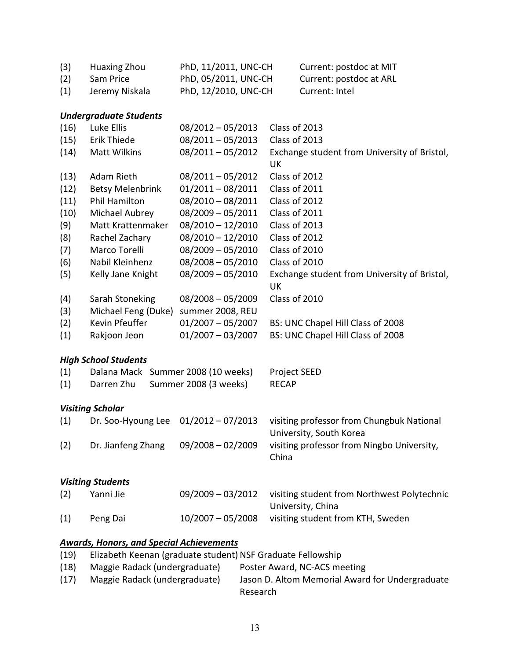| (3) | Huaxing Zhou   | PhD, 11/2011, UNC-CH | Current: postdoc at MIT |
|-----|----------------|----------------------|-------------------------|
| (2) | Sam Price      | PhD, 05/2011, UNC-CH | Current: postdoc at ARL |
| (1) | Jeremy Niskala | PhD, 12/2010, UNC-CH | Current: Intel          |

# *Undergraduate Students*

| (16) | Luke Ellis                             | $08/2012 - 05/2013$   | Class of 2013                                                        |  |
|------|----------------------------------------|-----------------------|----------------------------------------------------------------------|--|
| (15) | Erik Thiede                            | $08/2011 - 05/2013$   | Class of 2013                                                        |  |
| (14) | <b>Matt Wilkins</b>                    | $08/2011 - 05/2012$   | Exchange student from University of Bristol,<br>UK                   |  |
| (13) | Adam Rieth                             | $08/2011 - 05/2012$   | Class of 2012                                                        |  |
| (12) | <b>Betsy Melenbrink</b>                | $01/2011 - 08/2011$   | Class of 2011                                                        |  |
| (11) | Phil Hamilton                          | $08/2010 - 08/2011$   | Class of 2012                                                        |  |
| (10) | Michael Aubrey                         | $08/2009 - 05/2011$   | Class of 2011                                                        |  |
| (9)  | Matt Krattenmaker                      | $08/2010 - 12/2010$   | Class of 2013                                                        |  |
| (8)  | Rachel Zachary                         | $08/2010 - 12/2010$   | Class of 2012                                                        |  |
| (7)  | Marco Torelli                          | $08/2009 - 05/2010$   | Class of 2010                                                        |  |
| (6)  | Nabil Kleinhenz                        | $08/2008 - 05/2010$   | Class of 2010                                                        |  |
| (5)  | Kelly Jane Knight                      | $08/2009 - 05/2010$   | Exchange student from University of Bristol,<br><b>UK</b>            |  |
| (4)  | Sarah Stoneking                        | $08/2008 - 05/2009$   | Class of 2010                                                        |  |
| (3)  | Michael Feng (Duke)                    | summer 2008, REU      |                                                                      |  |
| (2)  | Kevin Pfeuffer                         | $01/2007 - 05/2007$   | BS: UNC Chapel Hill Class of 2008                                    |  |
| (1)  | Rakjoon Jeon                           | $01/2007 - 03/2007$   | BS: UNC Chapel Hill Class of 2008                                    |  |
|      | <b>High School Students</b>            |                       |                                                                      |  |
| (1)  | Dalana Mack Summer 2008 (10 weeks)     |                       | Project SEED                                                         |  |
| (1)  | Darren Zhu                             | Summer 2008 (3 weeks) | <b>RECAP</b>                                                         |  |
|      | <b>Visiting Scholar</b>                |                       |                                                                      |  |
| (1)  | Dr. Soo-Hyoung Lee                     | $01/2012 - 07/2013$   | visiting professor from Chungbuk National<br>University, South Korea |  |
| (2)  | Dr. Jianfeng Zhang                     | $09/2008 - 02/2009$   | visiting professor from Ningbo University,<br>China                  |  |
|      | <b>Visiting Students</b>               |                       |                                                                      |  |
| (2)  | Yanni Jie                              | 09/2009 - 03/2012     | visiting student from Northwest Polytechnic<br>University, China     |  |
| (1)  | Peng Dai                               | $10/2007 - 05/2008$   | visiting student from KTH, Sweden                                    |  |
|      | Awards Honors and Sposial Achievements |                       |                                                                      |  |

#### *Awards, Honors, and Special Achievements*

| (19) | Elizabeth Keenan (graduate student) NSF Graduate Fellowship |                                                 |
|------|-------------------------------------------------------------|-------------------------------------------------|
| (18) | Maggie Radack (undergraduate)                               | Poster Award, NC-ACS meeting                    |
| (17) | Maggie Radack (undergraduate)                               | Jason D. Altom Memorial Award for Undergraduate |
|      |                                                             | Research                                        |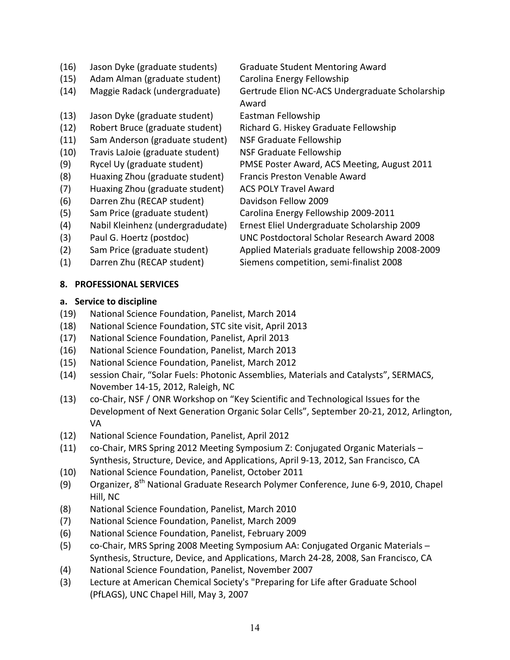- (16) Jason Dyke (graduate students) Graduate Student Mentoring Award
- (15) Adam Alman (graduate student) Carolina Energy Fellowship
- (14) Maggie Radack (undergraduate) Gertrude Elion NC-ACS Undergraduate Scholarship
- (13) Jason Dyke (graduate student) Eastman Fellowship
- (12) Robert Bruce (graduate student) Richard G. Hiskey Graduate Fellowship
- (11) Sam Anderson (graduate student) NSF Graduate Fellowship
- (10) Travis LaJoie (graduate student) NSF Graduate Fellowship
- 
- (8) Huaxing Zhou (graduate student) Francis Preston Venable Award
- (7) Huaxing Zhou (graduate student) ACS POLY Travel Award
- (6) Darren Zhu (RECAP student) Davidson Fellow 2009
- 
- 
- 
- 
- 

# **8. PROFESSIONAL SERVICES**

# **a. Service to discipline**

- (19) National Science Foundation, Panelist, March 2014
- (18) National Science Foundation, STC site visit, April 2013
- (17) National Science Foundation, Panelist, April 2013
- (16) National Science Foundation, Panelist, March 2013
- (15) National Science Foundation, Panelist, March 2012
- (14) session Chair, "Solar Fuels: Photonic Assemblies, Materials and Catalysts", SERMACS, November 14-15, 2012, Raleigh, NC
- (13) co-Chair, NSF / ONR Workshop on "Key Scientific and Technological Issues for the Development of Next Generation Organic Solar Cells", September 20-21, 2012, Arlington, VA
- (12) National Science Foundation, Panelist, April 2012
- (11) co-Chair, MRS Spring 2012 Meeting Symposium Z: Conjugated Organic Materials  $-$ Synthesis, Structure, Device, and Applications, April 9-13, 2012, San Francisco, CA
- (10) National Science Foundation, Panelist, October 2011
- (9) Organizer,  $8^{th}$  National Graduate Research Polymer Conference, June 6-9, 2010, Chapel Hill, NC
- (8) National Science Foundation, Panelist, March 2010
- (7) National Science Foundation, Panelist, March 2009
- (6) National Science Foundation, Panelist, February 2009
- (5) co-Chair, MRS Spring 2008 Meeting Symposium AA: Conjugated Organic Materials -Synthesis, Structure, Device, and Applications, March 24-28, 2008, San Francisco, CA
- (4) National Science Foundation, Panelist, November 2007
- (3) Lecture at American Chemical Society's "Preparing for Life after Graduate School (PfLAGS), UNC Chapel Hill, May 3, 2007

Award (9) Rycel Uy (graduate student) PMSE Poster Award, ACS Meeting, August 2011

- 
- (5) Sam Price (graduate student) Carolina Energy Fellowship 2009-2011
- (4) Nabil Kleinhenz (undergradudate) Ernest Eliel Undergraduate Scholarship 2009 (3) Paul G. Hoertz (postdoc) UNC Postdoctoral Scholar Research Award 2008
- (2) Sam Price (graduate student) Applied Materials graduate fellowship 2008-2009 (1) Darren Zhu (RECAP student) Siemens competition, semi-finalist 2008